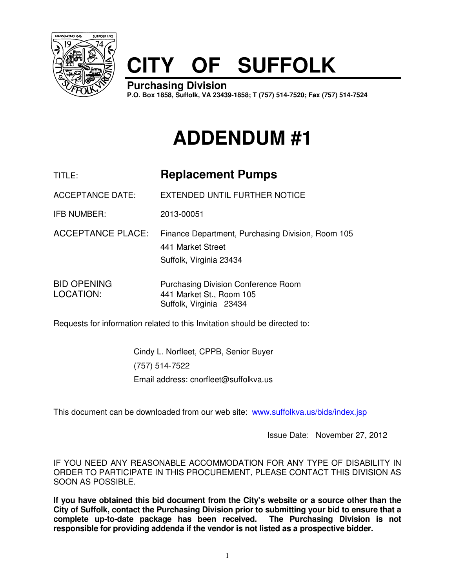

## **CITY OF SUFFOLK**

**Purchasing Division P.O. Box 1858, Suffolk, VA 23439-1858; T (757) 514-7520; Fax (757) 514-7524**

## **ADDENDUM #1**

| TITLE:                          | <b>Replacement Pumps</b>                                                                          |
|---------------------------------|---------------------------------------------------------------------------------------------------|
| <b>ACCEPTANCE DATE:</b>         | EXTENDED UNTIL FURTHER NOTICE                                                                     |
| <b>IFB NUMBER:</b>              | 2013-00051                                                                                        |
| <b>ACCEPTANCE PLACE:</b>        | Finance Department, Purchasing Division, Room 105<br>441 Market Street<br>Suffolk, Virginia 23434 |
| <b>BID OPENING</b><br>LOCATION: | <b>Purchasing Division Conference Room</b><br>441 Market St., Room 105<br>Suffolk, Virginia 23434 |

Requests for information related to this Invitation should be directed to:

Cindy L. Norfleet, CPPB, Senior Buyer (757) 514-7522 Email address: cnorfleet@suffolkva.us

This document can be downloaded from our web site: www.suffolkva.us/bids/index.jsp

Issue Date: November 27, 2012

IF YOU NEED ANY REASONABLE ACCOMMODATION FOR ANY TYPE OF DISABILITY IN ORDER TO PARTICIPATE IN THIS PROCUREMENT, PLEASE CONTACT THIS DIVISION AS SOON AS POSSIBLE.

**If you have obtained this bid document from the City's website or a source other than the City of Suffolk, contact the Purchasing Division prior to submitting your bid to ensure that a complete up-to-date package has been received. The Purchasing Division is not responsible for providing addenda if the vendor is not listed as a prospective bidder.**